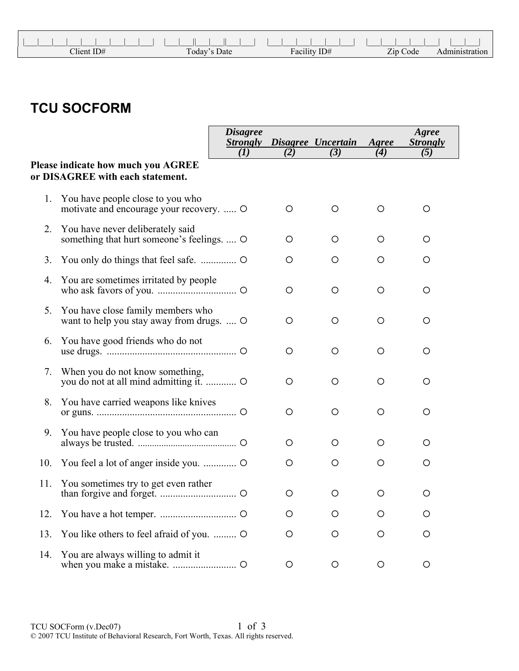|              |              | .            |          |
|--------------|--------------|--------------|----------|
| $Client$ ID# | Today's Date | Facility ID# | Zip Code |

## **TCU SOCFORM**

|     |                                                                                | <b>Disagree</b><br><b>Strongly</b> |     | Disagree Uncertain | Agree | Agree<br><b>Strongly</b> |
|-----|--------------------------------------------------------------------------------|------------------------------------|-----|--------------------|-------|--------------------------|
|     |                                                                                | (I)                                | (2) | (3)                | (4)   | (5)                      |
|     | Please indicate how much you AGREE<br>or DISAGREE with each statement.         |                                    |     |                    |       |                          |
| 1.  | You have people close to you who<br>motivate and encourage your recovery.  O   |                                    | O   | O                  | O     | O                        |
| 2.  | You have never deliberately said<br>something that hurt someone's feelings.  O |                                    | O   | O                  | O     | O                        |
| 3.  |                                                                                |                                    | O   | O                  | O     | O                        |
| 4.  | You are sometimes irritated by people                                          |                                    | O   | $\circ$            | O     | O                        |
| 5.  | You have close family members who<br>want to help you stay away from drugs.  O |                                    | O   | $\circ$            | O     | O                        |
| 6.  | You have good friends who do not                                               |                                    | O   | О                  | O     | O                        |
| 7.  | When you do not know something,                                                |                                    | O   | O                  | O     | O                        |
| 8.  | You have carried weapons like knives                                           |                                    | O   | O                  | O     | O                        |
| 9.  | You have people close to you who can                                           |                                    | O   | O                  | O     | O                        |
| 10. |                                                                                |                                    | O   | O                  | O     | O                        |
| 11. | You sometimes try to get even rather                                           |                                    | O   | O                  | O     | O                        |
| 12. |                                                                                |                                    | O   | O                  | O     | O                        |
| 13. | You like others to feel afraid of you.  O                                      |                                    | O   | O                  | O     | O                        |
| 14. | You are always willing to admit it                                             |                                    | O   | O                  | O     | O                        |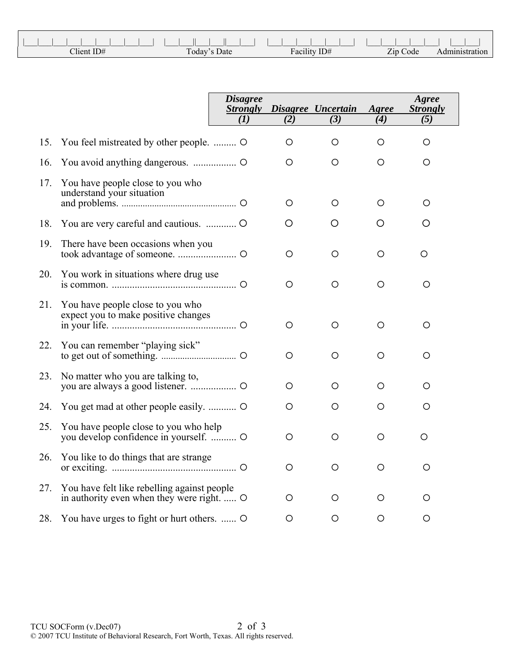| Client ID# | Today's Date | Facility ID# | Zip Code | ration. |
|------------|--------------|--------------|----------|---------|

|     |                                                                                           | <b>Disagree</b><br><b>Strongly</b><br>(I) | (2)     | Disagree Uncertain<br>(3) | Agree<br>(4) | Agree<br><b>Strongly</b><br>(5) |  |
|-----|-------------------------------------------------------------------------------------------|-------------------------------------------|---------|---------------------------|--------------|---------------------------------|--|
| 15. | You feel mistreated by other people.  O                                                   |                                           | O       | O                         | $\circ$      | O                               |  |
| 16. |                                                                                           |                                           | O       | O                         | O            | O                               |  |
| 17. | You have people close to you who<br>understand your situation                             |                                           | O       | O                         | О            | O                               |  |
| 18. |                                                                                           |                                           | O       | O                         | O            | O                               |  |
| 19. | There have been occasions when you                                                        |                                           | $\circ$ | O                         | O            | O                               |  |
| 20. | You work in situations where drug use                                                     |                                           | O       | O                         | О            | O                               |  |
| 21. | You have people close to you who<br>expect you to make positive changes                   |                                           | O       | O                         | O            | O                               |  |
| 22. | You can remember "playing sick"                                                           |                                           | $\circ$ | O                         | O            | O                               |  |
| 23. | No matter who you are talking to,                                                         |                                           | O       | O                         | O            | O                               |  |
| 24. |                                                                                           |                                           | О       | O                         | О            | O                               |  |
| 25. | You have people close to you who help                                                     |                                           | O       | O                         | O            | O                               |  |
| 26. | You like to do things that are strange                                                    |                                           | O       | O                         | О            | O                               |  |
| 27. | You have felt like rebelling against people<br>in authority even when they were right.  O |                                           | O       | O                         | O            | O                               |  |
| 28. | You have urges to fight or hurt others.  O                                                |                                           | $\circ$ | O                         | O            | O                               |  |